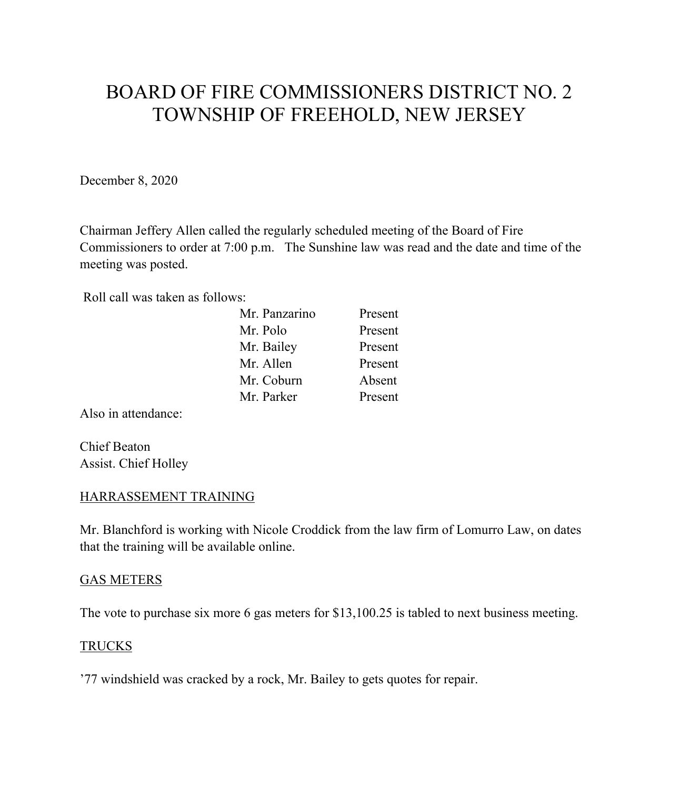# BOARD OF FIRE COMMISSIONERS DISTRICT NO. 2 TOWNSHIP OF FREEHOLD, NEW JERSEY

December 8, 2020

Chairman Jeffery Allen called the regularly scheduled meeting of the Board of Fire Commissioners to order at 7:00 p.m. The Sunshine law was read and the date and time of the meeting was posted.

Roll call was taken as follows:

| Mr. Panzarino | Present |
|---------------|---------|
| Mr. Polo      | Present |
| Mr. Bailey    | Present |
| Mr. Allen     | Present |
| Mr. Coburn    | Absent  |
| Mr. Parker    | Present |
|               |         |

Also in attendance:

Chief Beaton Assist. Chief Holley

### HARRASSEMENT TRAINING

Mr. Blanchford is working with Nicole Croddick from the law firm of Lomurro Law, on dates that the training will be available online.

#### GAS METERS

The vote to purchase six more 6 gas meters for \$13,100.25 is tabled to next business meeting.

### TRUCKS

'77 windshield was cracked by a rock, Mr. Bailey to gets quotes for repair.